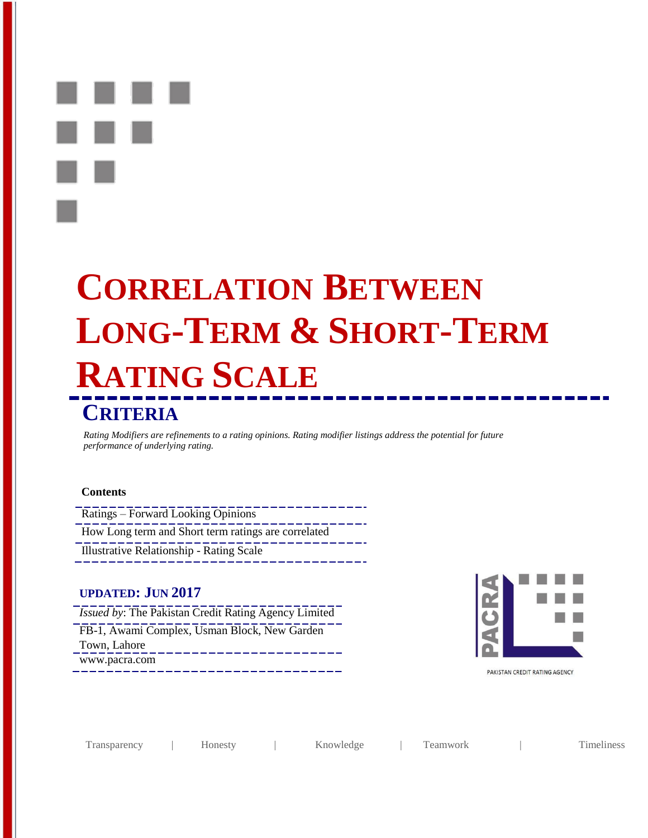**CORRELATION BETWEEN LONG-TERM & SHORT-TERM RATING SCALE** 

# **CRITERIA**

*Rating Modifiers are refinements to a rating opinions. Rating modifier listings address the potential for future performance of underlying rating.*

#### **Contents**

Ratings – Forward Looking Opinions How Long term and Short term ratings are correlated Illustrative Relationship - Rating Scale

## **UPDATED: JUN 2017**

- *Issued by*: The Pakistan Credit Rating Agency Limited
- FB-1, Awami Complex, Usman Block, New Garden Town, Lahore
- www.pacra.com



PAKISTAN CREDIT RATING AGENCY

| <i>l</i> ransparency | .10nesty | Knowledge | eamwork | imeliness |
|----------------------|----------|-----------|---------|-----------|
|----------------------|----------|-----------|---------|-----------|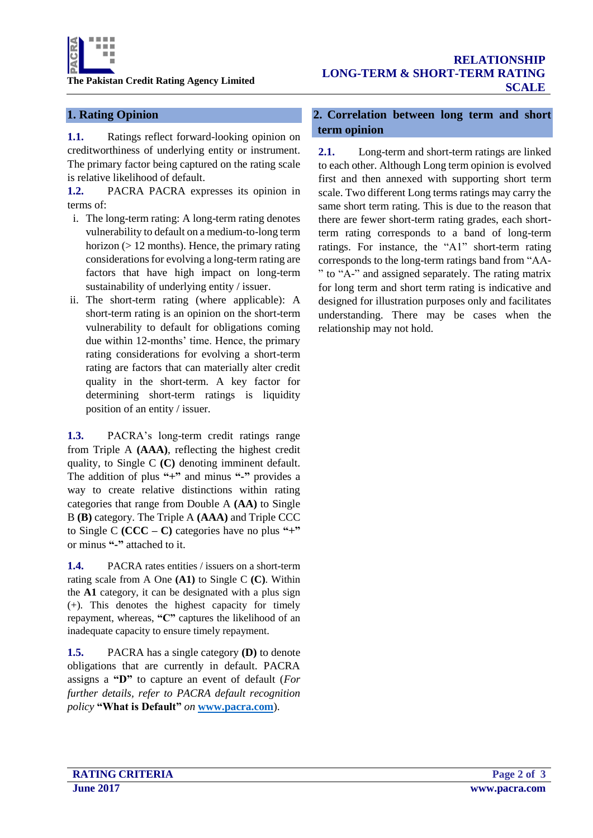

#### **1. Rating Opinion**

**1.1.** Ratings reflect forward-looking opinion on creditworthiness of underlying entity or instrument. The primary factor being captured on the rating scale is relative likelihood of default.

**1.2.** PACRA PACRA expresses its opinion in terms of:

- i. The long-term rating: A long-term rating denotes vulnerability to default on a medium-to-long term horizon (> 12 months). Hence, the primary rating considerations for evolving a long-term rating are factors that have high impact on long-term sustainability of underlying entity / issuer.
- ii. The short-term rating (where applicable): A short-term rating is an opinion on the short-term vulnerability to default for obligations coming due within 12-months' time. Hence, the primary rating considerations for evolving a short-term rating are factors that can materially alter credit quality in the short-term. A key factor for determining short-term ratings is liquidity position of an entity / issuer.

**1.3.** PACRA's long-term credit ratings range from Triple A **(AAA)**, reflecting the highest credit quality, to Single C **(C)** denoting imminent default. The addition of plus **"+"** and minus **"-"** provides a way to create relative distinctions within rating categories that range from Double A **(AA)** to Single B **(B)** category. The Triple A **(AAA)** and Triple CCC to Single C **(CCC – C)** categories have no plus **"+"**  or minus **"-"** attached to it.

**1.4.** PACRA rates entities / issuers on a short-term rating scale from A One **(A1)** to Single C **(C)**. Within the **A1** category, it can be designated with a plus sign (+). This denotes the highest capacity for timely repayment, whereas, **"C"** captures the likelihood of an inadequate capacity to ensure timely repayment.

**1.5.** PACRA has a single category **(D)** to denote obligations that are currently in default. PACRA assigns a **"D"** to capture an event of default (*For further details, refer to PACRA default recognition policy* **"What is Default"** *on* **[www.pacra.com](http://www.pacra.com/)**).

### **2. Correlation between long term and short term opinion**

**2.1.** Long-term and short-term ratings are linked to each other. Although Long term opinion is evolved first and then annexed with supporting short term scale. Two different Long terms ratings may carry the same short term rating. This is due to the reason that there are fewer short-term rating grades, each shortterm rating corresponds to a band of long-term ratings. For instance, the "A1" short-term rating corresponds to the long-term ratings band from "AA- " to "A-" and assigned separately. The rating matrix for long term and short term rating is indicative and designed for illustration purposes only and facilitates understanding. There may be cases when the relationship may not hold.